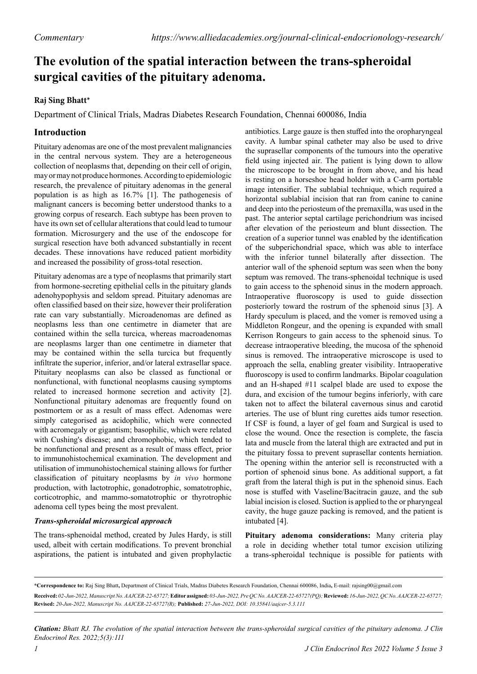# **The evolution of the spatial interaction between the trans-spheroidal surgical cavities of the pituitary adenoma.**

## **Raj Sing Bhatt\***

Department of Clinical Trials, Madras Diabetes Research Foundation, Chennai 600086, India

# **Introduction**

Pituitary adenomas are one of the most prevalent malignancies in the central nervous system. They are a heterogeneous collection of neoplasms that, depending on their cell of origin, may or may not produce hormones. According to epidemiologic research, the prevalence of pituitary adenomas in the general population is as high as 16.7% [1]. The pathogenesis of malignant cancers is becoming better understood thanks to a growing corpus of research. Each subtype has been proven to have its own set of cellular alterations that could lead to tumour formation. Microsurgery and the use of the endoscope for surgical resection have both advanced substantially in recent decades. These innovations have reduced patient morbidity and increased the possibility of gross-total resection.

Pituitary adenomas are a type of neoplasms that primarily start from hormone-secreting epithelial cells in the pituitary glands adenohypophysis and seldom spread. Pituitary adenomas are often classified based on their size, however their proliferation rate can vary substantially. Microadenomas are defined as neoplasms less than one centimetre in diameter that are contained within the sella turcica, whereas macroadenomas are neoplasms larger than one centimetre in diameter that may be contained within the sella turcica but frequently infiltrate the superior, inferior, and/or lateral extrasellar space. Pituitary neoplasms can also be classed as functional or nonfunctional, with functional neoplasms causing symptoms related to increased hormone secretion and activity [2]. Nonfunctional pituitary adenomas are frequently found on postmortem or as a result of mass effect. Adenomas were simply categorised as acidophilic, which were connected with acromegaly or gigantism; basophilic, which were related with Cushing's disease; and chromophobic, which tended to be nonfunctional and present as a result of mass effect, prior to immunohistochemical examination. The development and utilisation of immunohistochemical staining allows for further classification of pituitary neoplasms by *in vivo* hormone production, with lactotrophic, gonadotrophic, somatotrophic, corticotrophic, and mammo-somatotrophic or thyrotrophic adenoma cell types being the most prevalent.

### *Trans-spheroidal microsurgical approach*

The trans-sphenoidal method, created by Jules Hardy, is still used, albeit with certain modifications. To prevent bronchial aspirations, the patient is intubated and given prophylactic antibiotics. Large gauze is then stuffed into the oropharyngeal cavity. A lumbar spinal catheter may also be used to drive the suprasellar components of the tumours into the operative field using injected air. The patient is lying down to allow the microscope to be brought in from above, and his head is resting on a horseshoe head holder with a C-arm portable image intensifier. The sublabial technique, which required a horizontal sublabial incision that ran from canine to canine and deep into the periosteum of the premaxilla, was used in the past. The anterior septal cartilage perichondrium was incised after elevation of the periosteum and blunt dissection. The creation of a superior tunnel was enabled by the identification of the subperichondrial space, which was able to interface with the inferior tunnel bilaterally after dissection. The anterior wall of the sphenoid septum was seen when the bony septum was removed. The trans-sphenoidal technique is used to gain access to the sphenoid sinus in the modern approach. Intraoperative fluoroscopy is used to guide dissection posteriorly toward the rostrum of the sphenoid sinus [3]. A Hardy speculum is placed, and the vomer is removed using a Middleton Rongeur, and the opening is expanded with small Kerrison Rongeurs to gain access to the sphenoid sinus. To decrease intraoperative bleeding, the mucosa of the sphenoid sinus is removed. The intraoperative microscope is used to approach the sella, enabling greater visibility. Intraoperative fluoroscopy is used to confirm landmarks. Bipolar coagulation and an H-shaped #11 scalpel blade are used to expose the dura, and excision of the tumour begins inferiorly, with care taken not to affect the bilateral cavernous sinus and carotid arteries. The use of blunt ring curettes aids tumor resection. If CSF is found, a layer of gel foam and Surgical is used to close the wound. Once the resection is complete, the fascia lata and muscle from the lateral thigh are extracted and put in the pituitary fossa to prevent suprasellar contents herniation. The opening within the anterior sell is reconstructed with a portion of sphenoid sinus bone. As additional support, a fat graft from the lateral thigh is put in the sphenoid sinus. Each nose is stuffed with Vaseline/Bacitracin gauze, and the sub labial incision is closed. Suction is applied to the or pharyngeal cavity, the huge gauze packing is removed, and the patient is intubated [4].

**Pituitary adenoma considerations:** Many criteria play a role in deciding whether total tumor excision utilizing a trans-spheroidal technique is possible for patients with

*Citation: Bhatt RJ. The evolution of the spatial interaction between the trans-spheroidal surgical cavities of the pituitary adenoma. J Clin Endocrinol Res. 2022;5(3):111*

**<sup>\*</sup>Correspondence to:** Raj Sing Bhatt**,** Department of Clinical Trials, Madras Diabetes Research Foundation, Chennai 600086, India**,** E-mail: rajsing00@gmail.com **Received:** *02-Jun-2022, Manuscript No. AAJCER-22-65727;* **Editor assigned:** *03-Jun-2022, Pre QC No. AAJCER-22-65727(PQ);* **Reviewed:** *16-Jun-2022, QC No. AAJCER-22-65727;*  **Revised:** *20-Jun-2022, Manuscript No. AAJCER-22-65727(R);* **Published:** *27-Jun-2022, DOI: 10.35841/aajcer-5.3.111*